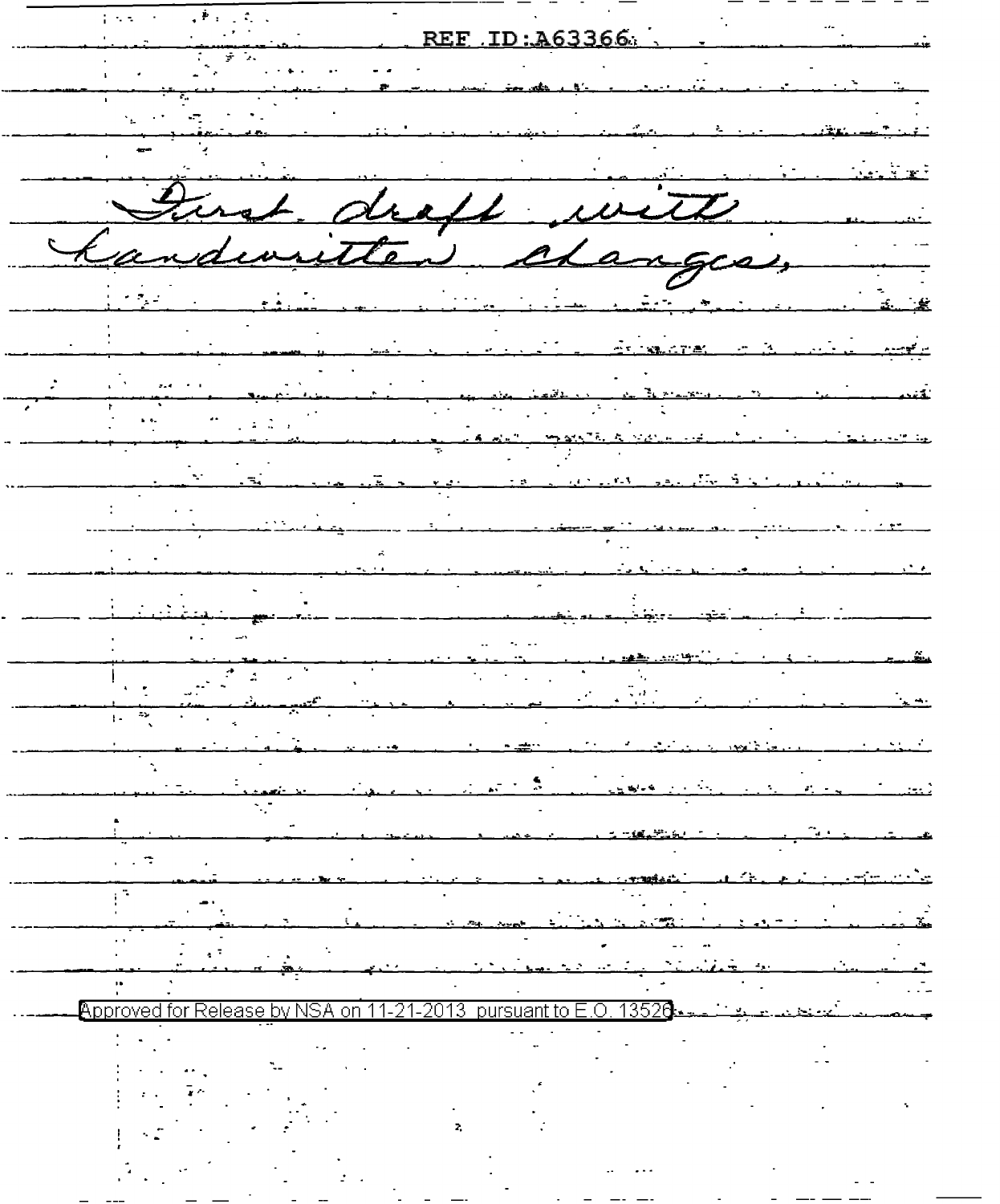$\langle \Psi \rangle$  $\mathcal{L}_{\mathrm{max}}$  $\frac{1}{2}$  ,  $\frac{1}{2}$  ,  $\frac{1}{2}$  ,  $\frac{1}{2}$  $\mathbf{r}$ REF ID: A63366  $\overline{z}$ Ü,  $\mathcal{L}$  and  $\mathcal{L}$  and  $\mathcal{L}$  and  $\mathcal{L}$ inst. draft with i clanges, and insette ÷ منقتموم<br>.  $\hat{\mathcal{L}}$  $\mathbf{r}$  ,  $\mathbf{t}$  $\sim$  $\overline{\cdot}$  $\mathbb{R}^2$  $\overline{z}$  $\overline{1}$  $\sim$   $\sim$   $\sim$  $\sqrt{2}$  $\mathcal{C}^{\mathcal{A}}$ المحمد المعاملة.<br>منابع on 11-21-2013 pursuant to E.O. 13520 Approved for Release by NSA  $\bar{\mathbf{z}}$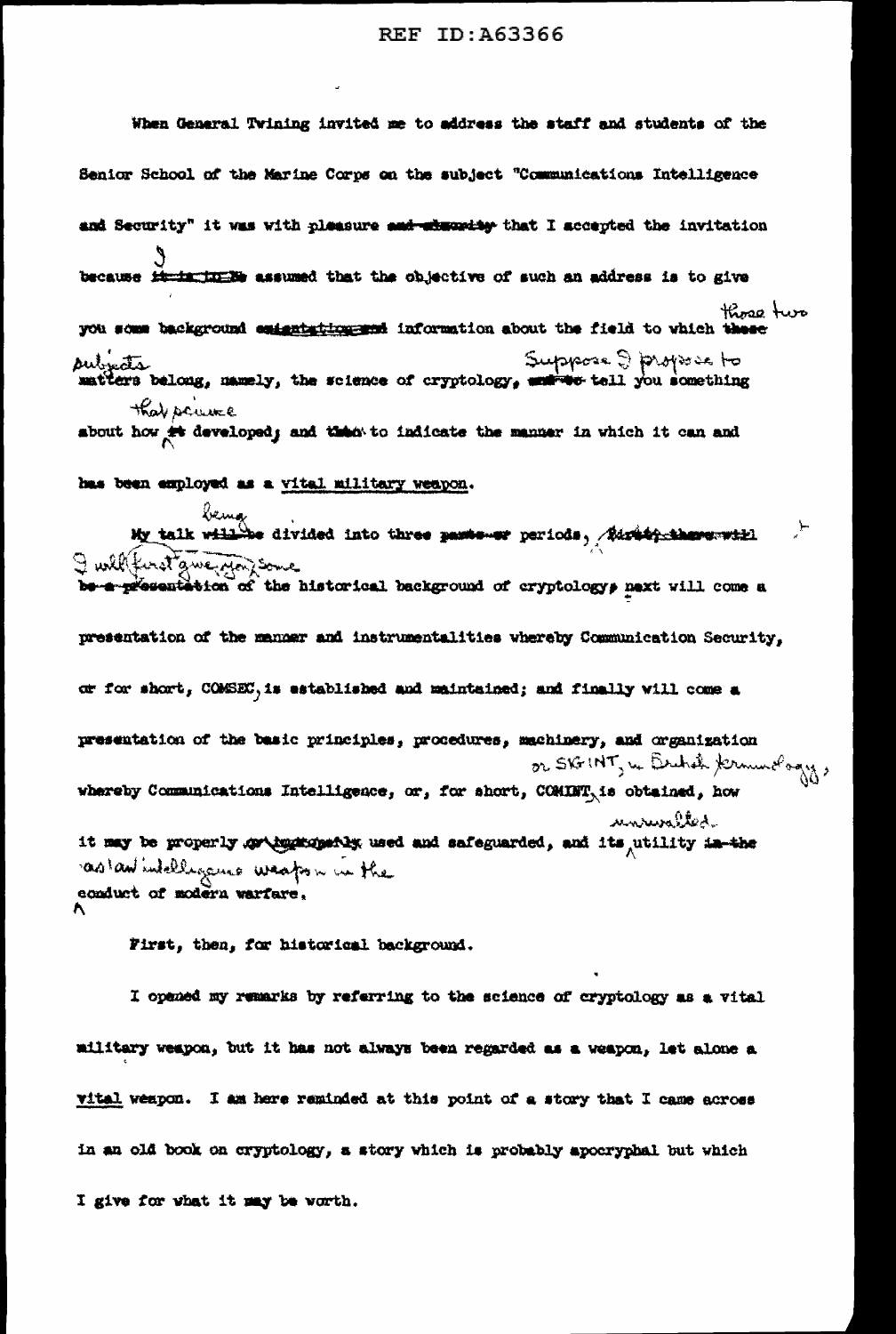When General Twining invited me to address the staff and students of the Senior School of the Marine Corps on the subject "Communications Intelligence and Security" it was with pleasure and absorting that I accepted the invitation because it in the assumed that the objective of such an address is to give those two you some background emignizing and information about the field to which these put eta Bong, namely, the science of cryptology, entreprese & phopose to that scure about how it developed; and then to indicate the manner in which it can and has been employed as a vital military weapon. being<br>My talk will be divided into three passe-or periods, Eisebergshave-will ्रोत I will first gwerpfor some be a presentation of the historical background of cryptologys next will come a presentation of the manner and instrumentalities whereby Communication Security, or for short, COMSEC, is established and maintained; and finally will come a presentation of the basic principles, procedures, machinery, and organization or SK+INT, in British Kermundagy, whereby Communications Intelligence, or, for short, COMINT, is obtained, how unruralted it may be properly or button the used and safeguarded, and its utility in the as an intelligence weapon in the conduct of modern warfare, First, then, for historical background.

I opened my remarks by referring to the science of cryptology as a vital military weapon, but it has not always been regarded as a weapon, let alone a vital weapon. I am here reminded at this point of a story that I came across in an old book on cryptology, a story which is probably apocryphal but which I give for what it may be worth.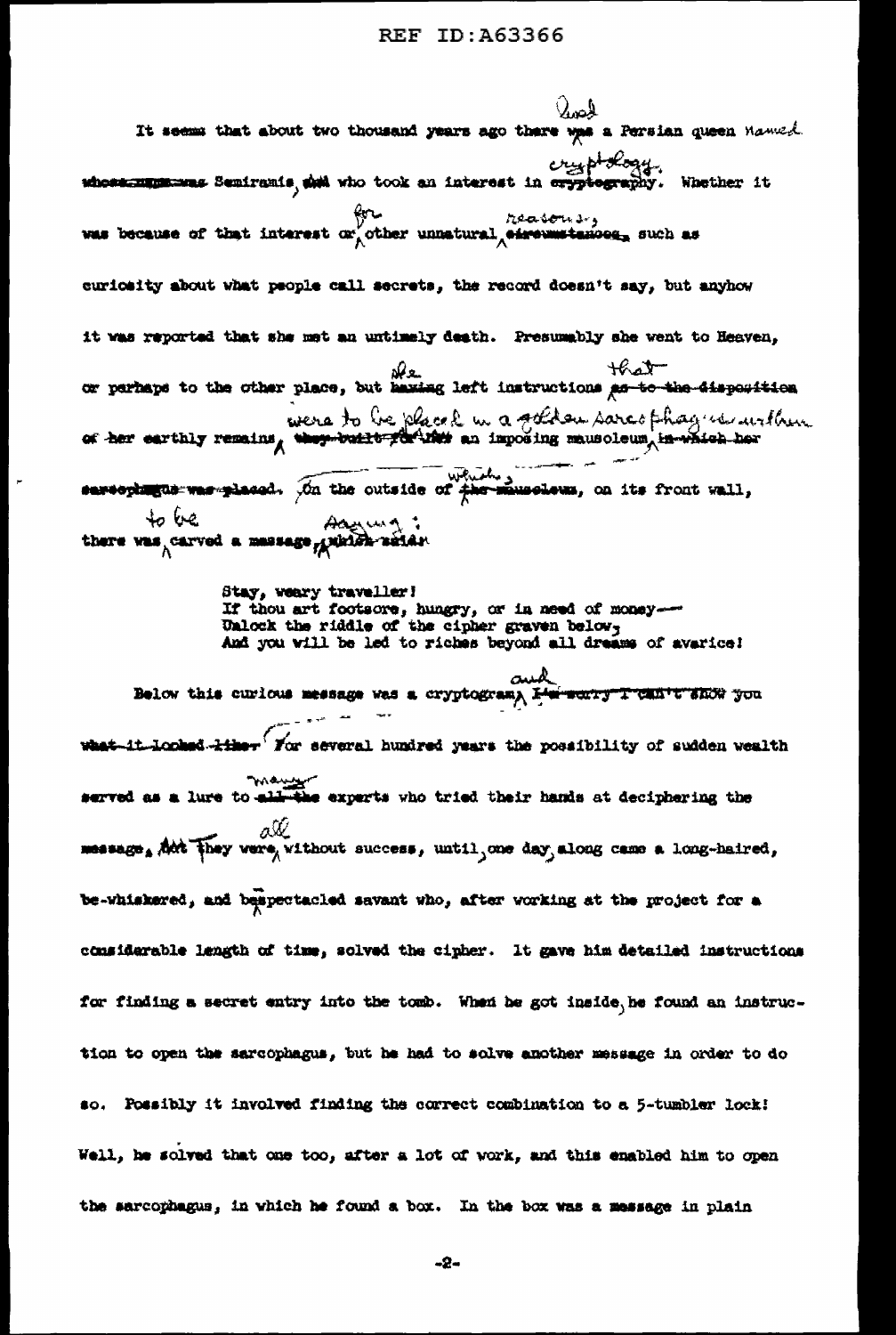Jose It seems that about two thousand years ago there was a Persian queen Manuel ethose. Seniranis, del vho took an interest in eryptography. Whether it was because of that interest or other unnatural eigenvalues and as curicatty about what people call secrets, the record doesn't say, but anyhow it was reported that she met an untimely death. Presumably she went to Heaven,  $\frac{\partial \Omega}{\partial t}$  or perhaps to the other place, but hazing left instructions as to the 4isposition were to be placed in a solder sare other way in urthur sureophagus was glassed. On the outside of the minesleum, on its front wall, Agent : there was carved a massage grinish saids. Stay, weary traveller! If thou art footsore, hungry, or in need of money-Unlock the riddle of the cipher graven below, And you will be led to riches beyond all dreams of avarice! لمس Below this curious message was a cryptogram, E'm sonry I can't show you -it-looked-kike- Yor several hundred years the possibility of sudden wealth way the caparts who tried their hands at deciphering the served as a lure to all-the experts who tried their hands at deciphering the  $\alpha$  all  $\alpha$  and  $\alpha$  and  $\alpha$  and  $\alpha$  along came a long-haired, be-whiskered, and bespectacled savant who, after working at the project for a considerable length of time, solved the cipher. It gave him detailed instructions for finding a secret entry into the tomb. When he got inside, he found an instruction to open the sarcophagus, but he had to solve another message in order to do so. Possibly it involved finding the correct combination to a 5-tumbler lock! Well, he solved that one too, after a lot of work, and this enabled him to open the sarcophagus, in which he found a box. In the box was a message in plain

-2-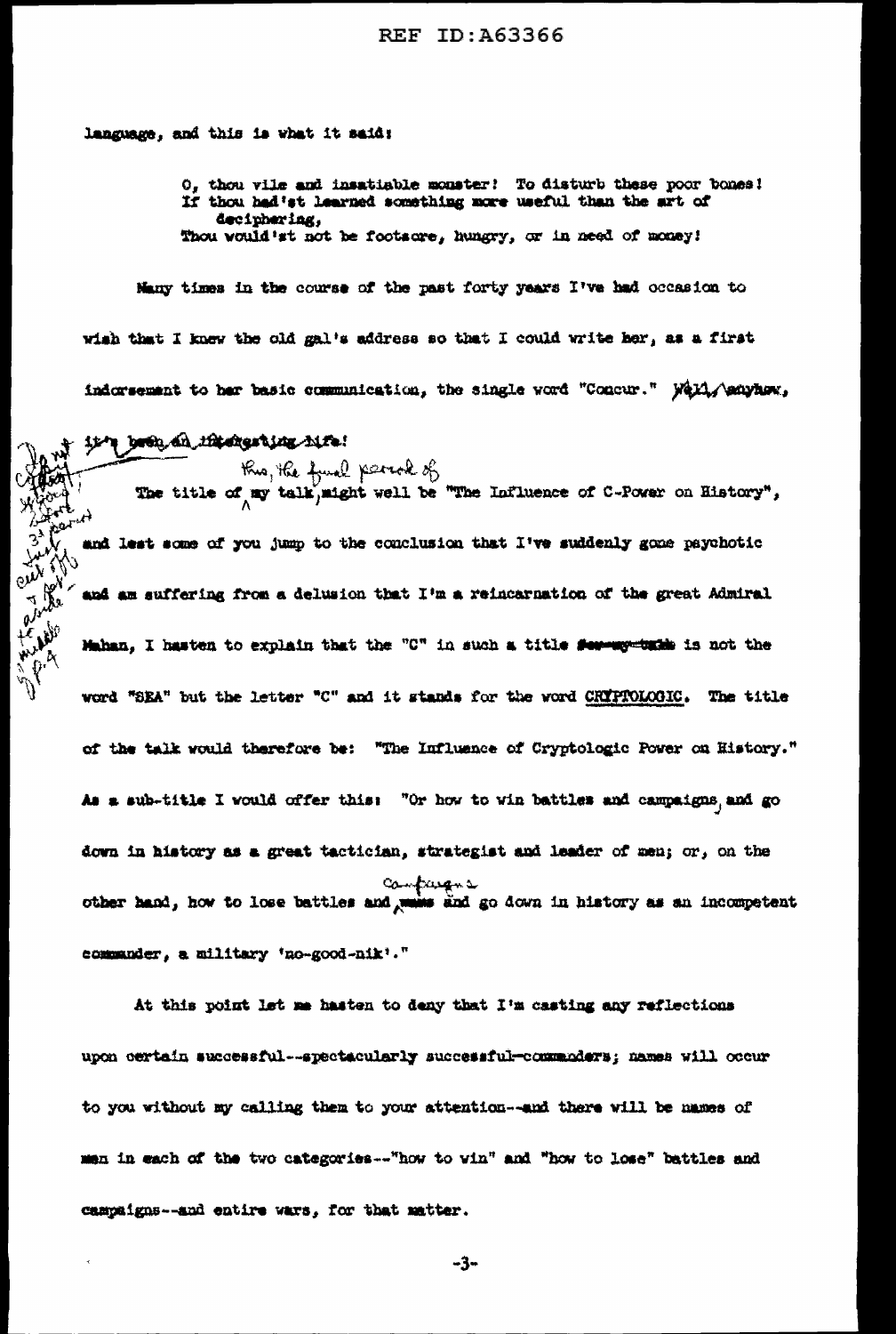language, and this is what it said:

O, thou vile and insatiable monster! To disturb these poor bones! If thou had'st learned something more useful than the art of deciphering, Thou would'st not be footsore, hungry, or in need of money!

Many times in the course of the past forty years I've had occasion to wish that I knew the old gal's address so that I could write her, as a first indorsement to her basic communication, the single word "Concur." Well, Anayhow,

it's been an intergring him.

Kus, He fund partok of<br>The title of my talk, might well be "The Influence of C-Power on History", and lest some of you jump to the conclusion that I've suddenly gone paychotic and am suffering from a delusion that I'm a reincarnation of the great Admiral Mahan. I hasten to explain that the "C" in such a title for worthis is not the word "SEA" but the letter "C" and it stands for the word CRIPTOLOGIC. The title of the talk would therefore be: "The Influence of Cryptologic Power on History." As a sub-title I would offer this: "Or how to win battles and campaigns, and go down in history as a great tactician, strategist and leader of men; or, on the campagne other hand, how to lose battles and mains and go down in history as an incompetent commander, a military 'no-good-nik'."

At this point let me hasten to deny that I'm casting any reflections upon certain successful --spectacularly successful-commaders; names will occur to you without my calling them to your attention--and there will be names of men in each of the two categories -- "how to vin" and "how to lose" battles and campaigns--and entire wars, for that matter.

-3-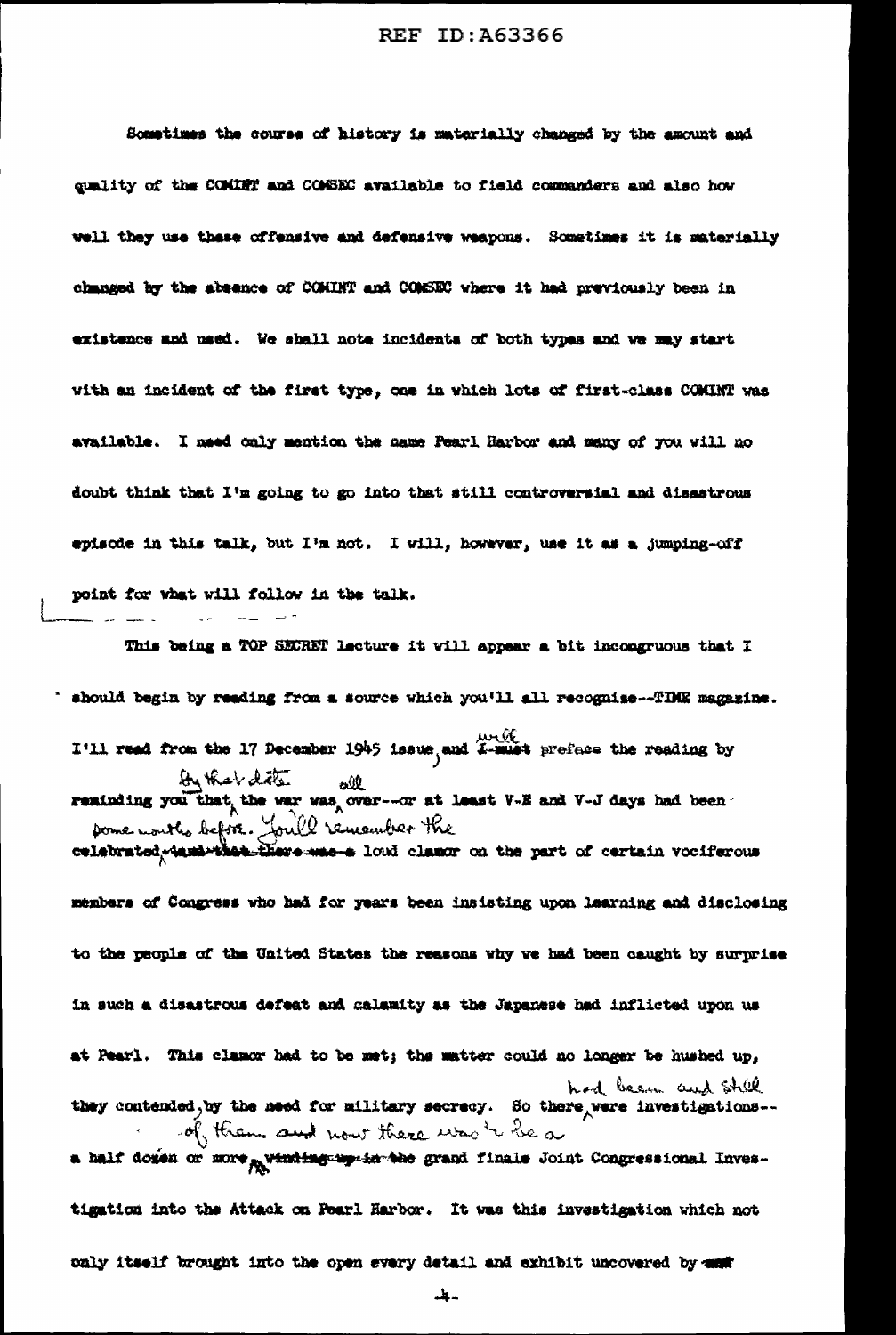Sometimes the course of history is materially changed by the amount and quality of the COMINT and COMSEC available to field commanders and also how well they use these offensive and defensive weapons. Sometimes it is materially changed by the absence of COMINT and COMEEC where it had previously been in existence and used. We shall note incidents of both types and we may start with an incident of the first type, one in which lots of first-class COMINT was available. I meed only mention the name Pearl Harbor and many of you will no doubt think that I'm going to go into that still controversial and disastrous episode in this talk, but I'm not. I will, however, use it as a jumping-off point for what will follow in the talk.

This being a TOP SECRET lecture it will appear a bit incongruous that I ' should begin by reading from a source which you'll all recognize--TDUE magazine. I'll read from the 17 December 1945 issue, and X-must preface the reading by

by that date off and the response to least V-E and V-J days had been pome nouth before. You'll remember the celebrated, tami that there muss loud clamor on the part of certain vociferous

members of Congress who had for years been insisting upon learning and disclosing to the people of the United States the reasons why we had been caught by surprise in such a disastrous defeat and calamity as the Japanese had inflicted upon us at Pearl. This clamor had to be met; the matter could no longer be hushed up, had been and still they contended, by the need for military secrecy. So there were investigations-of them and now there was to be a a half domen or more princing my in the grand finale Joint Congressional Inves-

tigation into the Attack on Fearl Harbor. It was this investigation which not only itself brought into the open every detail and exhibit uncovered by man

سباس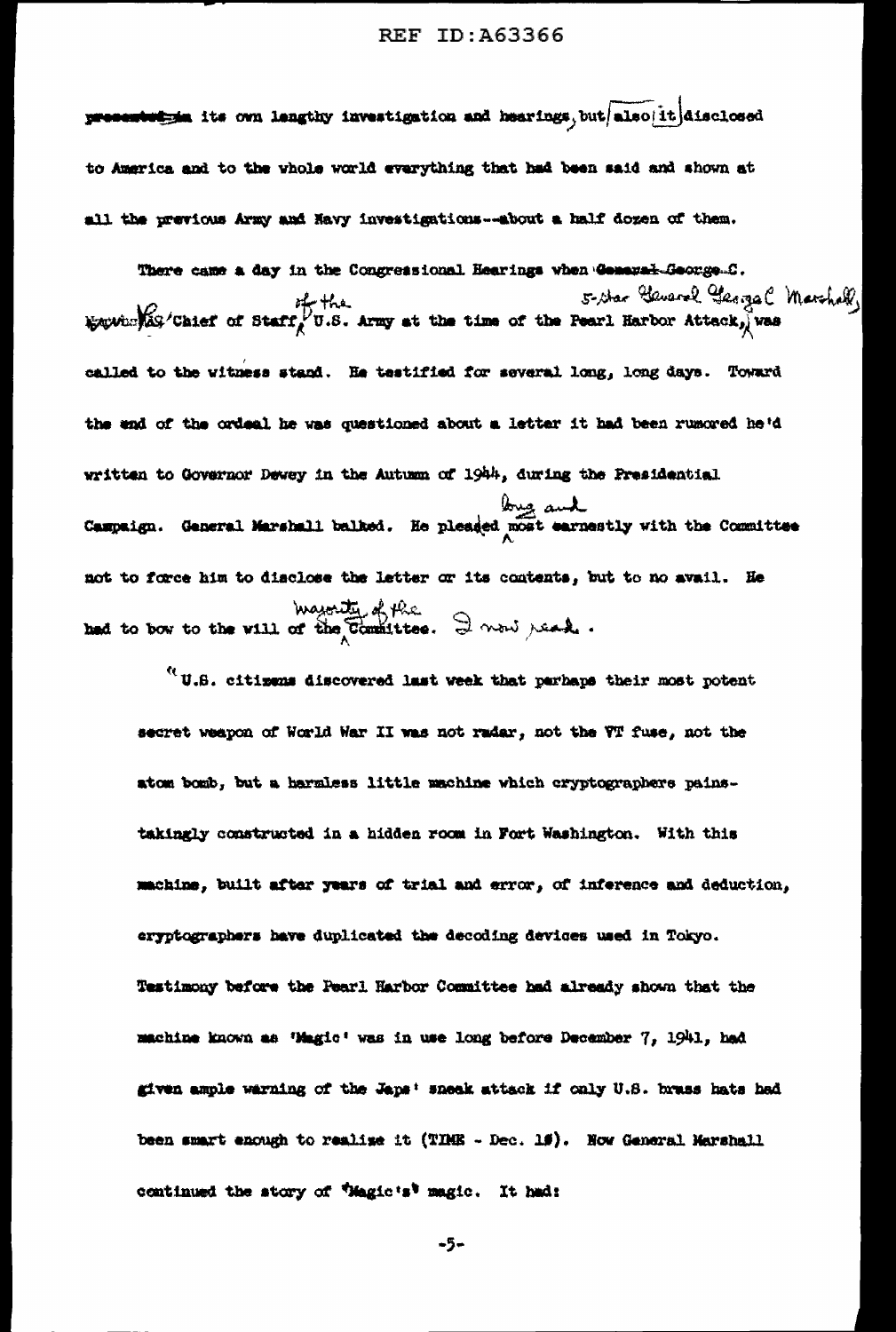presentation its own lengthy investigation and hearings, but also it disclosed to America and to the whole world everything that had been said and shown at all the previous Army and Havy investigations--about a half dozen of them.

There came a day in the Congressional Hearings when General-George-C. 5- Star Gauerel George (Merchell)<br>Equivalist Chief of Staff U.S. Army at the time of the Pearl Harbor Attack, was called to the witness stand. He testified for several long, long days. Toward the end of the ordeal he was questioned about a letter it had been rumored he'd written to Governor Dewey in the Autumn of 1944, during the Presidential Gaspaign. General Marshall balked. He pleaded most earnestly with the Committee not to force him to disclose the letter or its contents, but to no avail. He magnety of the Continuous model of the same interest.

 $^{\prime\prime}$  U.S. citizens discovered last week that parhaps their most potent secret weapon of World War II was not radar, not the VT fuse, not the atom bomb, but a harmless little machine which cryptographers painstakingly constructed in a hidden room in Fort Washington. With this machine, built after years of trial and error, of inference and deduction, eryptographers have duplicated the decoding devices used in Tokyo. Testimony before the Pearl Harbor Committee had already shown that the machine known as 'Magic' was in use long before December 7, 1941, had given ample warning of the Japa: sneak attack if only U.S. brass hats had been smart enough to realise it (TIME - Dec. 15). Now General Marshall continued the story of *"Magic's"* magic. It had:

-5-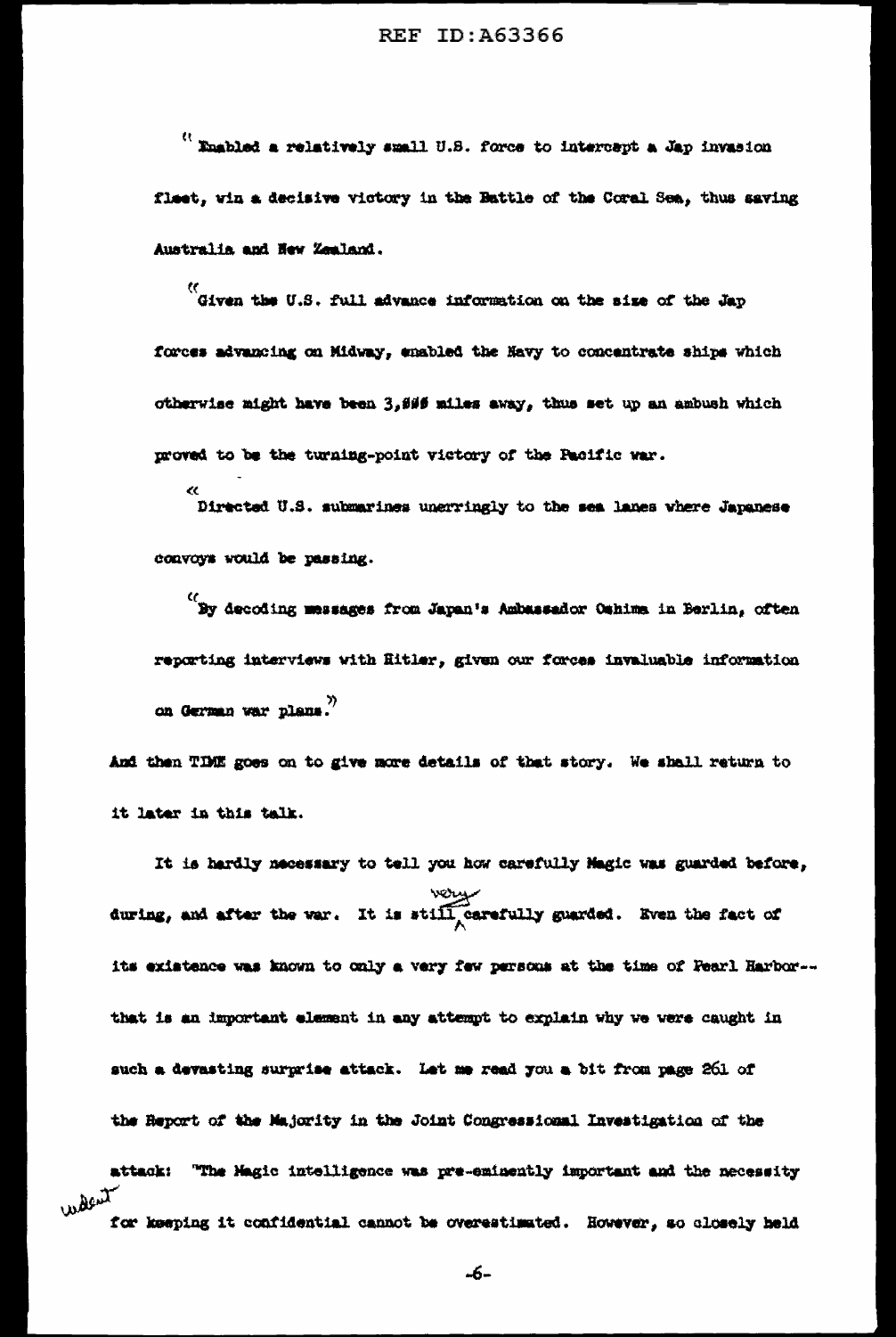$^{\prime\prime}$  Enabled a relatively small U.S. force to intercept a Jap invasion flast, win a decisive victory in the Battle of the Coral Sea, thus saving Australia and New Zealand.

...<br>Given the U.S. full advance information on the size of the Jap forces advancing on Midway, enabled the Havy to concentrate ships which otherwise might have been 3,606 miles away, thus set up an ambush which proved to be the turning-point victory of the Pacific war.

Directed U.S. submarines unerringly to the sea lanes where Japanese convoys would be passing.

...<br>By decoding messages from Japan's Ambassador Oshima in Berlin, often reporting interviews with Ritler, given our forces invaluable information on German war plans."

And then TDHE goes on to give more details of that story. We shall return to it later in this talk.

It is hardly necessary to tell you how carefully Magic was guarded before, wear. We have the war. It is still carefully guarded. Even the fact of its existence was known to only a very few persons at the time of Fearl Harbor-that is an important element in any attempt to explain why we were caught in such a devasting surgaise attack. Let me read you a bit from page 261 of the Report of the Majority in the Joint Congressional Investigation of the attack: "The Magic intelligence was pre-eminently important and the necessity

for keeping it confidential cannot be overestimated. However, so closely held

walent

-6-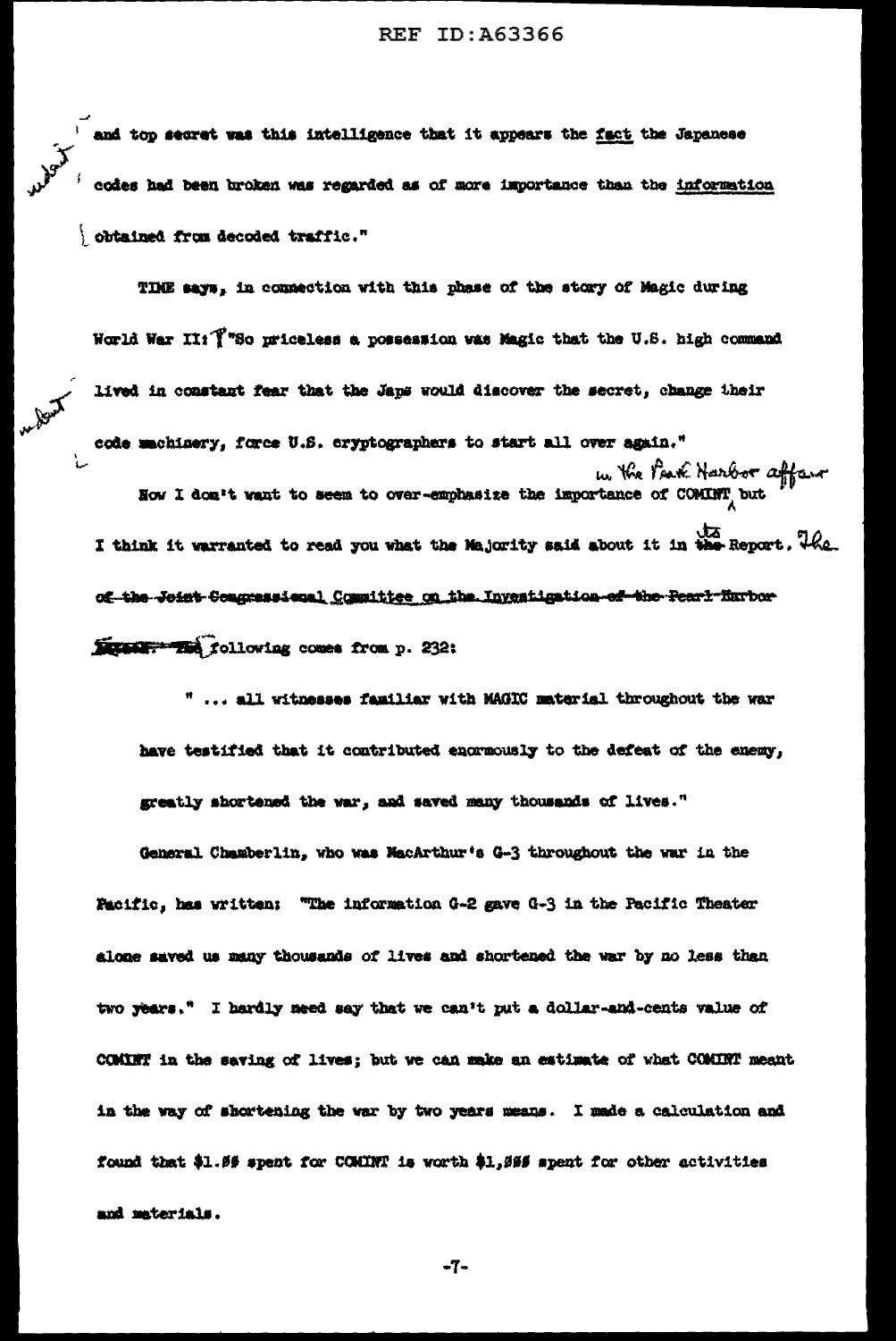and top secret was this intelligence that it appears the fact the Japanese codes had been broken was regarded as of more importance than the information obtained from decoded traffic."

treet w

TIME says, in connection with this phase of the story of Magic during World War II: Y"So priceless a possession was Magic that the U.S. high command lived in constant fear that the Japs would discover the secret, change their code machinery, force U.S. cryptographers to start all over again." How I don't vant to seem to over-emphasize the importance of COMINT but I think it warranted to read you what the Majority said about it in the Report. The of the Joint Congressional Committee on the Investigation of the Pearl Eurhor-Street: The following comes from p. 232:

" ... all witnesses familiar with MAGIC material throughout the war have testified that it contributed encarnously to the defeat of the enemy, greatly shortened the war, and saved many thousands of lives."

General Chamberlin, who was MacArthur's G-3 throughout the war in the Facific, has written: "The information G-2 gave G-3 in the Pacific Theater alone saved us many thousands of lives and shortened the war by no less than two years." I hardly meed say that we can't put a dollar-and-cents value of COMINT in the saving of lives; but we can make an estimate of what COMINT meant in the way of shortening the war by two years means. I made a calculation and found that \$1.09 spent for COMINT is worth \$1,000 spent for other activities and materials.

 $-7-$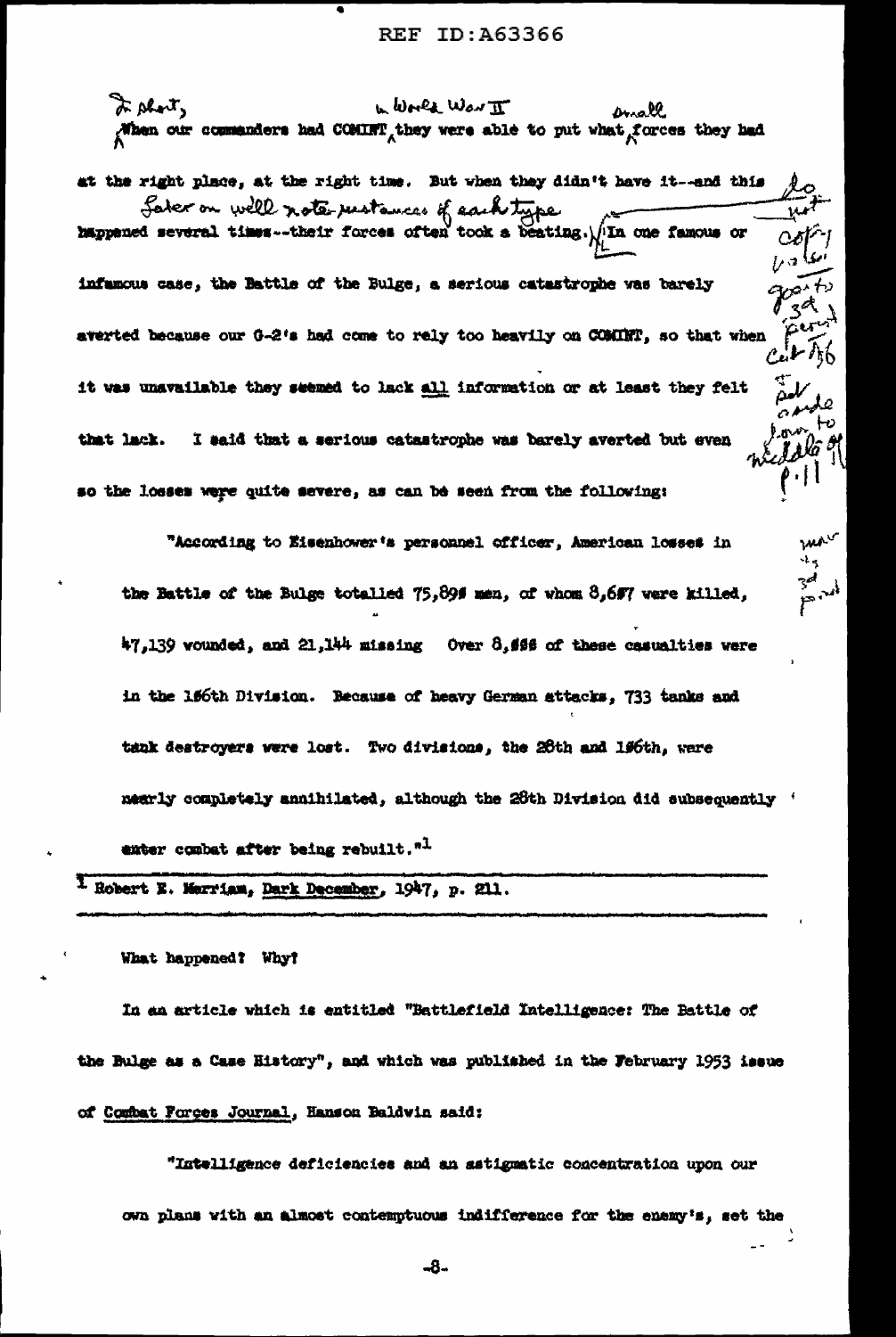In short, w World WON II anall When our commanders had COMINT they were able to put what forces they had

at the right place, at the right time. But when they didn't have it--and this Sater on well note restances of each type infuncus case, the Battle of the Bulge, a serious catestrophe was barely averted because our G-2's had come to rely too heavily on COMINT, so that when it was unavailable they seemed to lack all information or at least they felt j y da s I said that a serious catastrophe was barely averted but even that lack. so the losses were quite severe, as can be seen from the following:

"According to Eisenhower's personnel officer, American losses in the Battle of the Bulge totalled 75,896 men, of whom 8,697 were killed, 47,139 wounded, and 21,144 missing Over 8,666 of these casualties were in the 156th Division. Because of heavy German attacks, 733 tanks and tank destroyers were lost. Two divisions, the 26th and 196th, were mearly completely annihilated, although the 26th Division did subsequently ' exter combat after being rebuilt." $<sup>1</sup>$ </sup>

ma.  $\mathbf{r}$ 

<sup>1</sup> Robert E. Merriam, Dark December, 1947, p. 211.

What happened? Why?

In an article which is entitled "Battlefield Intelligence: The Battle of the Bulge as a Case History", and which was published in the February 1953 issue of Combat Forges Journal, Hanson Baldwin said:

"Intelligence deficiencies and an astignatic concentration upon our own plans with an almost contemptuous indifference for the enemy's, set the

-8-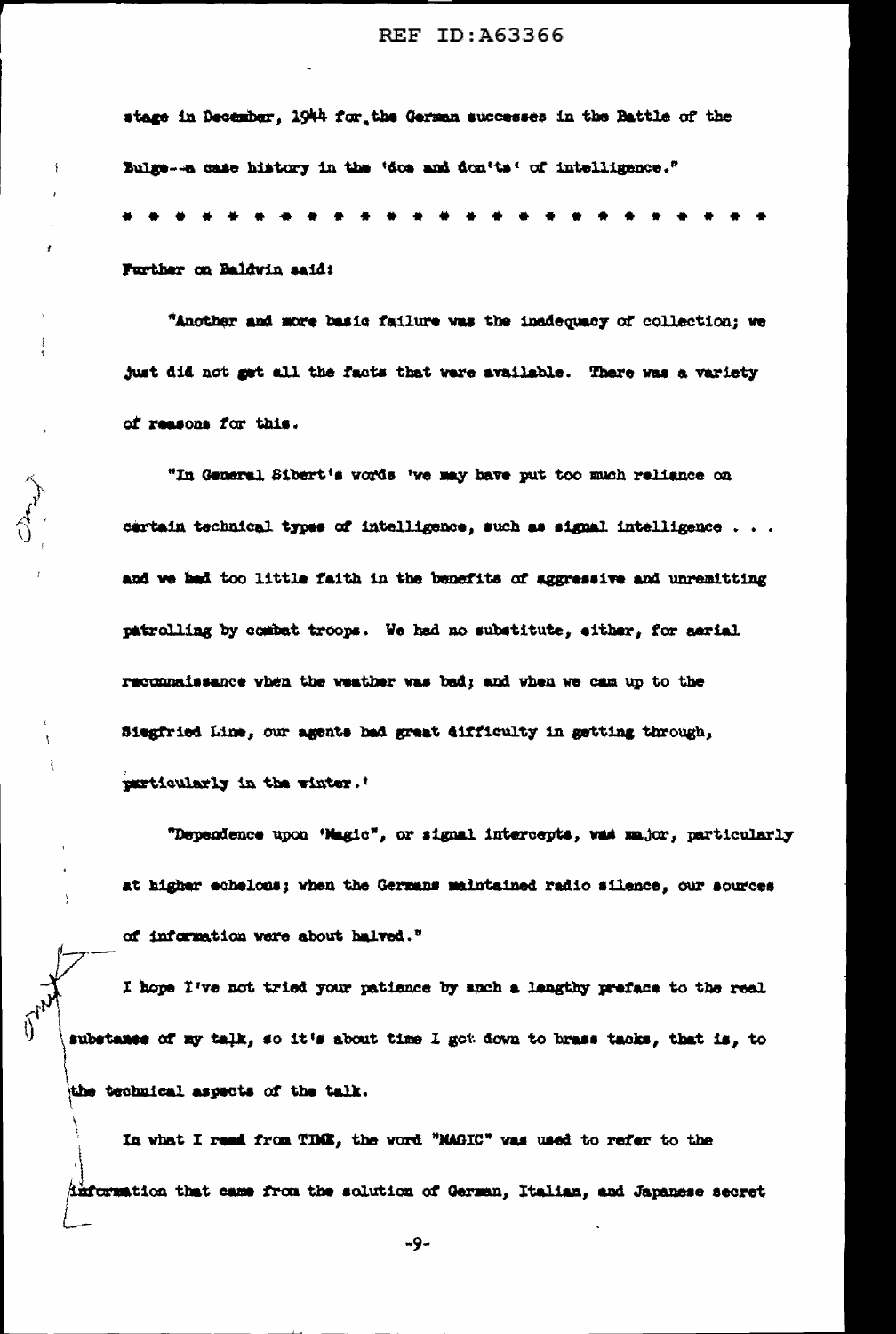stage in December, 1944 for the German successes in the Battle of the Bulge--a case history in the 'dos and don'ts' of intelligence."

. . . . . . . . . . Further on Baldwin said:

"Another and more basic failure was the inadequacy of collection; we just did not get all the facts that were available. There was a variety of reasons for this.

"In General Sibert's words 'we may have put too much reliance on certain technical types of intelligence, such as signal intelligence . . . and we had too little faith in the benefits of aggressive and unremitting patrolling by combat troops. We had no substitute, either, for aarial reconnaissance when the weather was bad; and when we cam up to the Siegfried Line, our agents had graat difficulty in getting through, particularly in the winter.

"Dependence upon 'Magic", or signal intercepts, was major, particularly at higher echelons; when the Germans maintained radio silence, our sources of information were about halved."

I hope I've not tried your patience by such a lengthy preface to the real substance of my talk, so it's about time I got down to brass tacks, that is, to the technical aspects of the talk.

In what I read from TDME, the word "MAGIC" was used to refer to the differention that came from the solution of German, Italian, and Japanese secret

-9-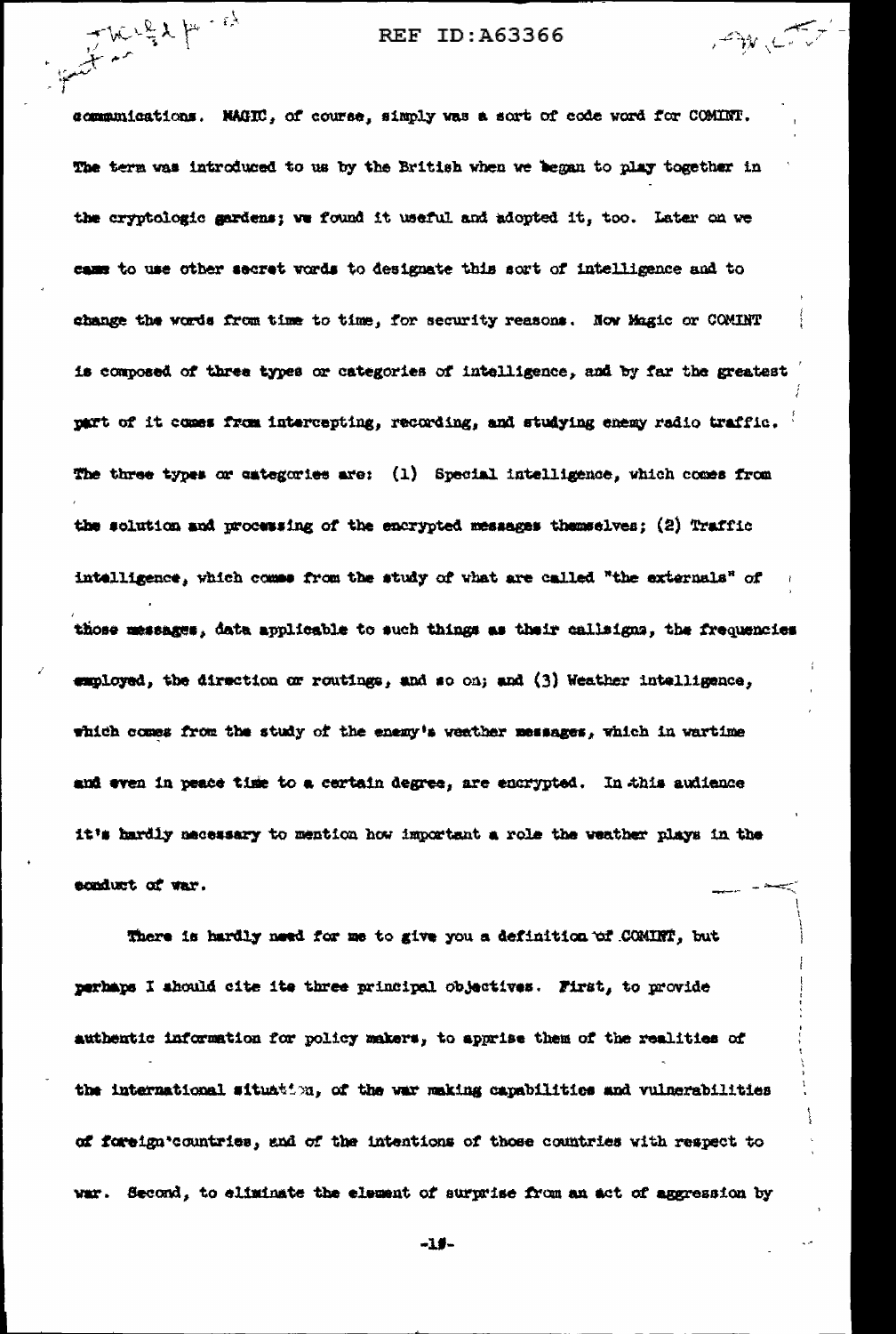The get for the

communications. NAGIC, of course, simply was a sort of code word for COMINT. The term was introduced to us by the British when we began to play together in the cryptologic gardens; we found it useful and adopted it, too. Later on we came to use other secret words to designate this sort of intelligence and to change the words from time to time, for security reasons. Now Magic or COMINT is composed of three types or categories of intelligence, and by far the greatest part of it comes from intercepting, recording, and studying enemy radio traffic. The three types or categories are: (1) Special intelligence, which comes from the solution and processing of the encrypted messages themselves; (2) Traffic intalligence, which comes from the study of what are called "the externals" of those messages, data applicable to such things as their callsigns, the frequencies employed, the direction or routings, and so on; and (3) Weather intelligence, which comes from the study of the enemy's weather messages, which in wartime and even in peace time to a certain degree, are encrypted. In this audience it's hardly necessary to mention how important a role the weather plays in the ecoduct of var.

There is hardly need for me to give you a definition of COMINT, but perhaps I should cite ite three principal objectives. First, to provide authentic information for policy makers, to apprise them of the realities of the international situation, of the war making capabilities and vulnerabilities of foreign'countries, and of the intentions of those countries with respect to war. Second, to eliminate the element of surprise from an act of aggression by

-1#-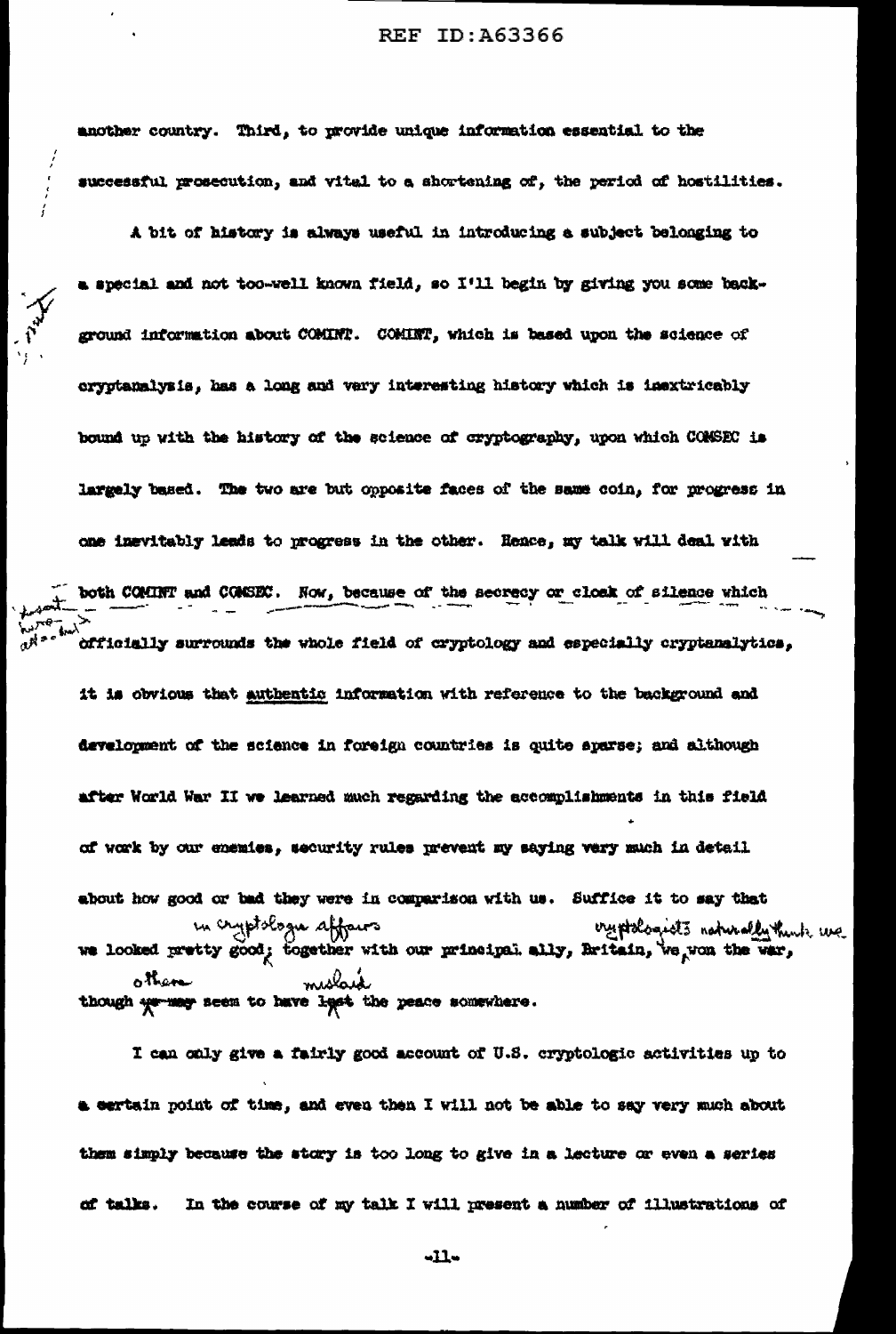another country. Third, to provide unique information essential to the successful prosecution, and vital to a shortening of, the period of hostilities.

A bit of history is always useful in introducing a subject belonging to a special and not too-well known field, so I'll begin by giving you some background information about COMINT. COMINT, which is based upon the science of cryptanalysis, has a long and very interesting history which is inextricably bound up with the history of the science of cryptography, upon which COMSEC is largely based. The two are but opposite faces of the same coin, for progress in one inevitably leads to progress in the other. Hence, my talk will deal with both COMINT and COMSEC. Now, because of the secrecy or closk of silence which officially surrounds the whole field of cryptology and especially cryptanalytics, it is obvious that authentic information with reference to the background and development of the science in foreign countries is quite sparse; and although after World War II we learned much regarding the accomplishments in this field of work by our enemies, security rules prevent my saying very much in detail about how good or bad they were in comparison with us. Suffice it to say that in cryptologie affairs oryptologists naturally think we we looked pretty good; together with our principal ally, Britain, we won the war, molair other though we may seem to have legst the peace somewhere.

I can only give a fairly good account of U.S. cryptologic activities up to a certain point of time, and even then I will not be able to say very much about them simply because the story is too long to give in a lecture or even a series of talks. In the course of my talk I will present a number of illustrations of

-11-